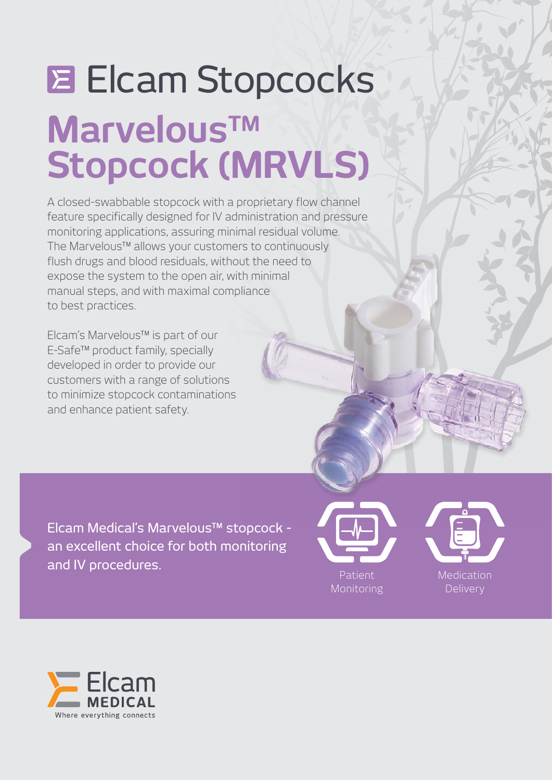# **MarvelousTM Stopcock (MRVLS) Elcam Stopcocks**

A closed-swabbable stopcock with a proprietary flow channel feature specifically designed for IV administration and pressure monitoring applications, assuring minimal residual volume. The Marvelous™ allows your customers to continuously flush drugs and blood residuals, without the need to expose the system to the open air, with minimal manual steps, and with maximal compliance to best practices.

Elcam's Marvelous™ is part of our E-Safe™ product family, specially developed in order to provide our customers with a range of solutions to minimize stopcock contaminations and enhance patient safety.

Elcam Medical's Marvelous™ stopcock an excellent choice for both monitoring and IV procedures.





**Medication** Delivery